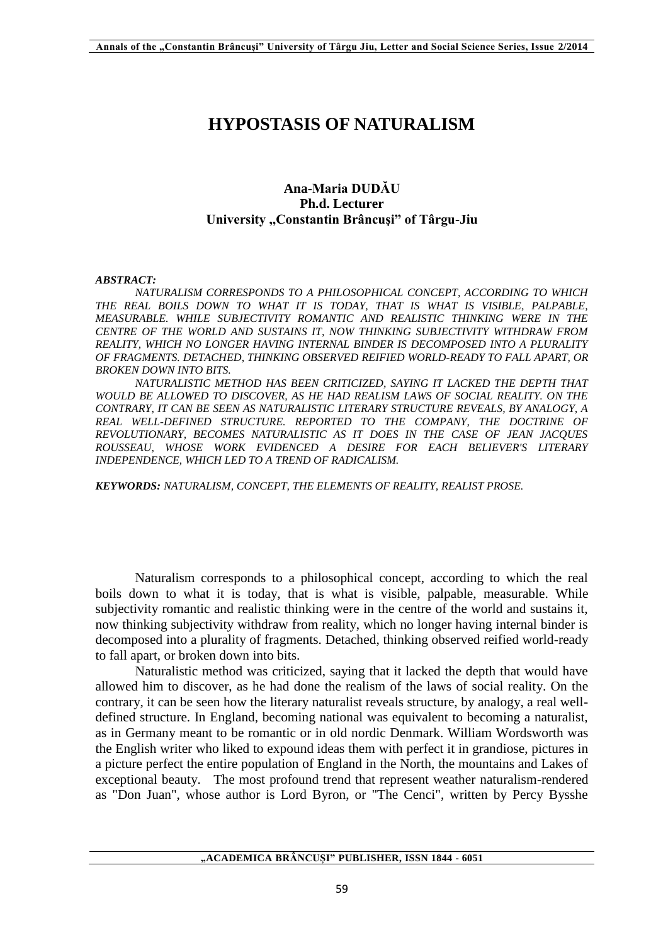## **HYPOSTASIS OF NATURALISM**

## **Ana-Maria DUDĂU Ph.d. Lecturer University ,,Constantin Brâncuşi" of Târgu-Jiu**

## *ABSTRACT:*

*NATURALISM CORRESPONDS TO A PHILOSOPHICAL CONCEPT, ACCORDING TO WHICH THE REAL BOILS DOWN TO WHAT IT IS TODAY, THAT IS WHAT IS VISIBLE, PALPABLE, MEASURABLE. WHILE SUBJECTIVITY ROMANTIC AND REALISTIC THINKING WERE IN THE CENTRE OF THE WORLD AND SUSTAINS IT, NOW THINKING SUBJECTIVITY WITHDRAW FROM REALITY, WHICH NO LONGER HAVING INTERNAL BINDER IS DECOMPOSED INTO A PLURALITY OF FRAGMENTS. DETACHED, THINKING OBSERVED REIFIED WORLD-READY TO FALL APART, OR BROKEN DOWN INTO BITS.* 

*NATURALISTIC METHOD HAS BEEN CRITICIZED, SAYING IT LACKED THE DEPTH THAT WOULD BE ALLOWED TO DISCOVER, AS HE HAD REALISM LAWS OF SOCIAL REALITY. ON THE CONTRARY, IT CAN BE SEEN AS NATURALISTIC LITERARY STRUCTURE REVEALS, BY ANALOGY, A REAL WELL-DEFINED STRUCTURE. REPORTED TO THE COMPANY, THE DOCTRINE OF REVOLUTIONARY, BECOMES NATURALISTIC AS IT DOES IN THE CASE OF JEAN JACQUES ROUSSEAU, WHOSE WORK EVIDENCED A DESIRE FOR EACH BELIEVER'S LITERARY INDEPENDENCE, WHICH LED TO A TREND OF RADICALISM.*

*KEYWORDS: NATURALISM, CONCEPT, THE ELEMENTS OF REALITY, REALIST PROSE.*

Naturalism corresponds to a philosophical concept, according to which the real boils down to what it is today, that is what is visible, palpable, measurable. While subjectivity romantic and realistic thinking were in the centre of the world and sustains it, now thinking subjectivity withdraw from reality, which no longer having internal binder is decomposed into a plurality of fragments. Detached, thinking observed reified world-ready to fall apart, or broken down into bits.

Naturalistic method was criticized, saying that it lacked the depth that would have allowed him to discover, as he had done the realism of the laws of social reality. On the contrary, it can be seen how the literary naturalist reveals structure, by analogy, a real welldefined structure. In England, becoming national was equivalent to becoming a naturalist, as in Germany meant to be romantic or in old nordic Denmark. William Wordsworth was the English writer who liked to expound ideas them with perfect it in grandiose, pictures in a picture perfect the entire population of England in the North, the mountains and Lakes of exceptional beauty. The most profound trend that represent weather naturalism-rendered as "Don Juan", whose author is Lord Byron, or "The Cenci", written by Percy Bysshe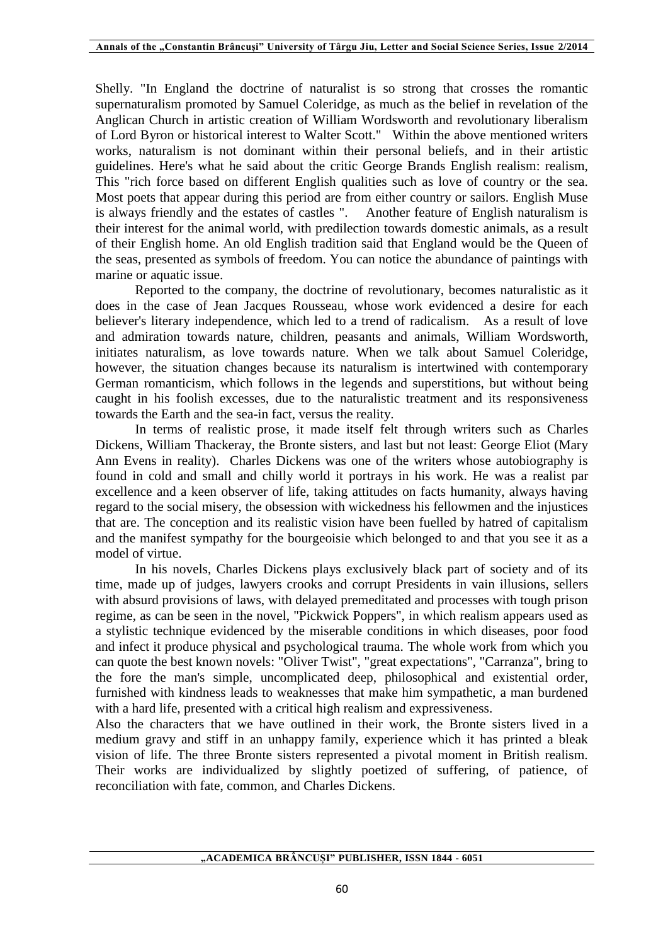Shelly. "In England the doctrine of naturalist is so strong that crosses the romantic supernaturalism promoted by Samuel Coleridge, as much as the belief in revelation of the Anglican Church in artistic creation of William Wordsworth and revolutionary liberalism of Lord Byron or historical interest to Walter Scott." Within the above mentioned writers works, naturalism is not dominant within their personal beliefs, and in their artistic guidelines. Here's what he said about the critic George Brands English realism: realism, This "rich force based on different English qualities such as love of country or the sea. Most poets that appear during this period are from either country or sailors. English Muse is always friendly and the estates of castles ". Another feature of English naturalism is their interest for the animal world, with predilection towards domestic animals, as a result of their English home. An old English tradition said that England would be the Queen of the seas, presented as symbols of freedom. You can notice the abundance of paintings with marine or aquatic issue.

Reported to the company, the doctrine of revolutionary, becomes naturalistic as it does in the case of Jean Jacques Rousseau, whose work evidenced a desire for each believer's literary independence, which led to a trend of radicalism. As a result of love and admiration towards nature, children, peasants and animals, William Wordsworth, initiates naturalism, as love towards nature. When we talk about Samuel Coleridge, however, the situation changes because its naturalism is intertwined with contemporary German romanticism, which follows in the legends and superstitions, but without being caught in his foolish excesses, due to the naturalistic treatment and its responsiveness towards the Earth and the sea-in fact, versus the reality.

In terms of realistic prose, it made itself felt through writers such as Charles Dickens, William Thackeray, the Bronte sisters, and last but not least: George Eliot (Mary Ann Evens in reality). Charles Dickens was one of the writers whose autobiography is found in cold and small and chilly world it portrays in his work. He was a realist par excellence and a keen observer of life, taking attitudes on facts humanity, always having regard to the social misery, the obsession with wickedness his fellowmen and the injustices that are. The conception and its realistic vision have been fuelled by hatred of capitalism and the manifest sympathy for the bourgeoisie which belonged to and that you see it as a model of virtue.

In his novels, Charles Dickens plays exclusively black part of society and of its time, made up of judges, lawyers crooks and corrupt Presidents in vain illusions, sellers with absurd provisions of laws, with delayed premeditated and processes with tough prison regime, as can be seen in the novel, "Pickwick Poppers", in which realism appears used as a stylistic technique evidenced by the miserable conditions in which diseases, poor food and infect it produce physical and psychological trauma. The whole work from which you can quote the best known novels: "Oliver Twist", "great expectations", "Carranza", bring to the fore the man's simple, uncomplicated deep, philosophical and existential order, furnished with kindness leads to weaknesses that make him sympathetic, a man burdened with a hard life, presented with a critical high realism and expressiveness.

Also the characters that we have outlined in their work, the Bronte sisters lived in a medium gravy and stiff in an unhappy family, experience which it has printed a bleak vision of life. The three Bronte sisters represented a pivotal moment in British realism. Their works are individualized by slightly poetized of suffering, of patience, of reconciliation with fate, common, and Charles Dickens.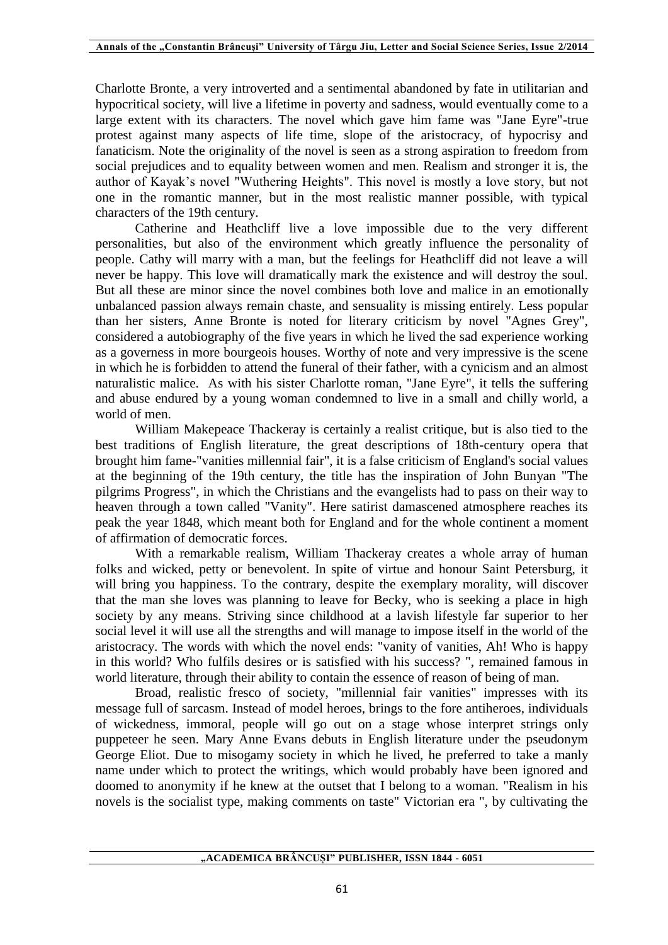Charlotte Bronte, a very introverted and a sentimental abandoned by fate in utilitarian and hypocritical society, will live a lifetime in poverty and sadness, would eventually come to a large extent with its characters. The novel which gave him fame was "Jane Eyre"-true protest against many aspects of life time, slope of the aristocracy, of hypocrisy and fanaticism. Note the originality of the novel is seen as a strong aspiration to freedom from social prejudices and to equality between women and men. Realism and stronger it is, the author of Kayak's novel "Wuthering Heights". This novel is mostly a love story, but not one in the romantic manner, but in the most realistic manner possible, with typical characters of the 19th century.

Catherine and Heathcliff live a love impossible due to the very different personalities, but also of the environment which greatly influence the personality of people. Cathy will marry with a man, but the feelings for Heathcliff did not leave a will never be happy. This love will dramatically mark the existence and will destroy the soul. But all these are minor since the novel combines both love and malice in an emotionally unbalanced passion always remain chaste, and sensuality is missing entirely. Less popular than her sisters, Anne Bronte is noted for literary criticism by novel "Agnes Grey", considered a autobiography of the five years in which he lived the sad experience working as a governess in more bourgeois houses. Worthy of note and very impressive is the scene in which he is forbidden to attend the funeral of their father, with a cynicism and an almost naturalistic malice. As with his sister Charlotte roman, "Jane Eyre", it tells the suffering and abuse endured by a young woman condemned to live in a small and chilly world, a world of men.

William Makepeace Thackeray is certainly a realist critique, but is also tied to the best traditions of English literature, the great descriptions of 18th-century opera that brought him fame-"vanities millennial fair", it is a false criticism of England's social values at the beginning of the 19th century, the title has the inspiration of John Bunyan "The pilgrims Progress", in which the Christians and the evangelists had to pass on their way to heaven through a town called "Vanity". Here satirist damascened atmosphere reaches its peak the year 1848, which meant both for England and for the whole continent a moment of affirmation of democratic forces.

With a remarkable realism, William Thackeray creates a whole array of human folks and wicked, petty or benevolent. In spite of virtue and honour Saint Petersburg, it will bring you happiness. To the contrary, despite the exemplary morality, will discover that the man she loves was planning to leave for Becky, who is seeking a place in high society by any means. Striving since childhood at a lavish lifestyle far superior to her social level it will use all the strengths and will manage to impose itself in the world of the aristocracy. The words with which the novel ends: "vanity of vanities, Ah! Who is happy in this world? Who fulfils desires or is satisfied with his success? ", remained famous in world literature, through their ability to contain the essence of reason of being of man.

Broad, realistic fresco of society, "millennial fair vanities" impresses with its message full of sarcasm. Instead of model heroes, brings to the fore antiheroes, individuals of wickedness, immoral, people will go out on a stage whose interpret strings only puppeteer he seen. Mary Anne Evans debuts in English literature under the pseudonym George Eliot. Due to misogamy society in which he lived, he preferred to take a manly name under which to protect the writings, which would probably have been ignored and doomed to anonymity if he knew at the outset that I belong to a woman. "Realism in his novels is the socialist type, making comments on taste" Victorian era ", by cultivating the